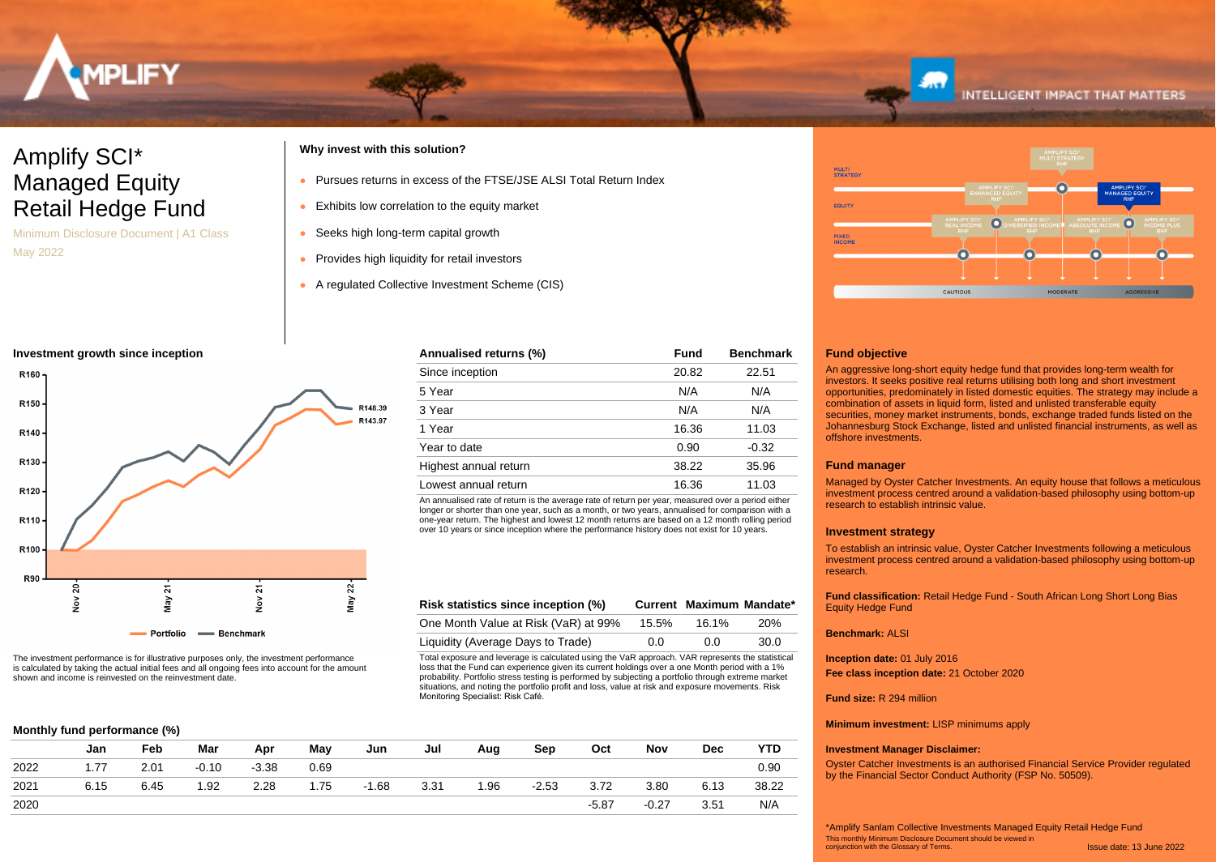

# Amplify SCI\* Managed Equity Retail Hedge Fund

Minimum Disclosure Document | A1 Class May 2022

## **Why invest with this solution?**

- Pursues returns in excess of the FTSE/JSE ALSI Total Return Index
- Exhibits low correlation to the equity market
- Seeks high long-term capital growth
- Provides high liquidity for retail investors
- A regulated Collective Investment Scheme (CIS)

#### **Investment growth since inception**



The investment performance is for illustrative purposes only, the investment performance is calculated by taking the actual initial fees and all ongoing fees into account for the amount shown and income is reinvested on the reinvestment date.

### **Monthly fund performance (%)**

|      | Jan  | Feb  | Mar     | Apr     | May  | Jun     | Jul  | Aug  | Sep     | Oct     | Nov     | <b>Dec</b> | <b>YTD</b> |
|------|------|------|---------|---------|------|---------|------|------|---------|---------|---------|------------|------------|
|      |      |      |         | $-3.38$ |      |         |      |      |         |         |         |            |            |
| 2022 | 1.77 | 2.01 | $-0.10$ |         | 0.69 |         |      |      |         |         |         |            | 0.90       |
| 2021 | 6.15 | 6.45 | 1.92    | 2.28    | 1.75 | $-1.68$ | 3.31 | 1.96 | $-2.53$ | 3.72    | 3.80    | 6.13       | 38.22      |
| 2020 |      |      |         |         |      |         |      |      |         | $-5.87$ | $-0.27$ | 3.51       | N/A        |



An annualised rate of return is the average rate of return per year, measured over a period either longer or shorter than one year, such as a month, or two years, annualised for comparison with a one-year return. The highest and lowest 12 month returns are based on a 12 month rolling period over 10 years or since inception where the performance history does not exist for 10 years.

| Risk statistics since inception (%)  |       | Current Maximum Mandate* |            |
|--------------------------------------|-------|--------------------------|------------|
| One Month Value at Risk (VaR) at 99% | 15.5% | 16.1%                    | <b>20%</b> |
| Liquidity (Average Days to Trade)    | 0.0   | 0.0                      | 30.0       |

Total exposure and leverage is calculated using the VaR approach. VAR represents the statistical loss that the Fund can experience given its current holdings over a one Month period with a 1% probability. Portfolio stress testing is performed by subjecting a portfolio through extreme market situations, and noting the portfolio profit and loss, value at risk and exposure movements. Risk Monitoring Specialist: Risk Café.



**INTELLIGENT IMPACT THAT MATTERS** 

#### **Fund objective**

An aggressive long-short equity hedge fund that provides long-term wealth for investors. It seeks positive real returns utilising both long and short investment opportunities, predominately in listed domestic equities. The strategy may include a combination of assets in liquid form, listed and unlisted transferable equity securities, money market instruments, bonds, exchange traded funds listed on the Johannesburg Stock Exchange, listed and unlisted financial instruments, as well as offshore investments.

#### **Fund manager**

Managed by Oyster Catcher Investments. An equity house that follows a meticulous investment process centred around a validation-based philosophy using bottom-up research to establish intrinsic value.

#### **Investment strategy**

To establish an intrinsic value, Oyster Catcher Investments following a meticulous investment process centred around a validation-based philosophy using bottom-up research.

**Fund classification:** Retail Hedge Fund - South African Long Short Long Bias Equity Hedge Fund

#### **Benchmark:** ALSI

**Inception date:** 01 July 2016 **Fee class inception date:** 21 October 2020

#### **Fund size:** R 294 million

**Minimum investment:** LISP minimums apply

#### **Investment Manager Disclaimer:**

Oyster Catcher Investments is an authorised Financial Service Provider regulated by the Financial Sector Conduct Authority (FSP No. 50509).